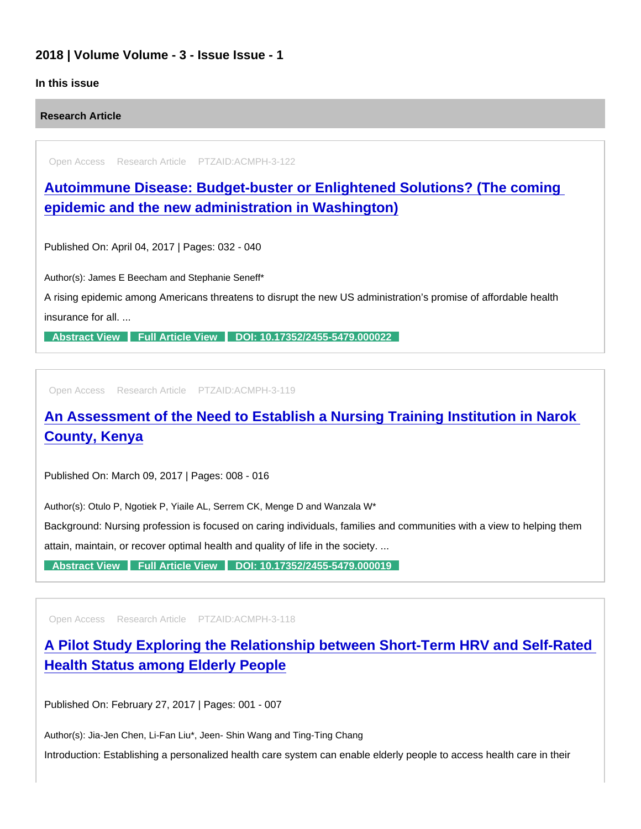## 2018 | Volume Volume - 3 - Issue Issue - 1

### In this issue

Research Article

Open Access Research Article PTZAID:ACMPH-3-122

[Autoimmune Disease: Budget-buster or Enlightened Solutions? \(The coming](https://www.peertechzpublications.com/articles/autoimmune-disease-budget-buster-or-enlightened-solutions-the-coming-epidemic-and-the-new-administration-in-washington)  epidemic and the new administration in Washington)

Published On: April 04, 2017 | Pages: 032 - 040

Author(s): James E Beecham and Stephanie Seneff\*

A rising epidemic among Americans threatens to disrupt the new US administration's promise of affordable health insurance for all. ...

[Abstract View](https://www.peertechzpublications.com/abstracts/autoimmune-disease-budget-buster-or-enlightened-solutions-the-coming-epidemic-and-the-new-administration-in-washington) [Full Article View](https://www.peertechzpublications.com/articles/autoimmune-disease-budget-buster-or-enlightened-solutions-the-coming-epidemic-and-the-new-administration-in-washington) [DOI: 10.17352/2455-5479.000022](http://dx.doi.org/10.17352/2455-5479.000022)

Open Access Research Article PTZAID:ACMPH-3-119

## [An Assessment of the Need to Establish a Nursing Training Institution in Narok](https://www.peertechzpublications.com/articles/an-assessment-of-the-need-to-establish-a-nursing-training-institution-in-narok-county-kenya)  County, Kenya

Published On: March 09, 2017 | Pages: 008 - 016

Author(s): Otulo P, Ngotiek P, Yiaile AL, Serrem CK, Menge D and Wanzala W\*

Background: Nursing profession is focused on caring individuals, families and communities with a view to helping them

attain, maintain, or recover optimal health and quality of life in the society. ...

[Abstract View](https://www.peertechzpublications.com/abstracts/an-assessment-of-the-need-to-establish-a-nursing-training-institution-in-narok-county-kenya) [Full Article View](https://www.peertechzpublications.com/articles/an-assessment-of-the-need-to-establish-a-nursing-training-institution-in-narok-county-kenya) [DOI: 10.17352/2455-5479.000019](http://dx.doi.org/10.17352/2455-5479.000019)

Open Access Research Article PTZAID:ACMPH-3-118

[A Pilot Study Exploring the Relationship between Short-Term HRV and Self-Rated](https://www.peertechzpublications.com/articles/a-pilot-study-exploring-the-relationship-between-short-term-hrv-and-self-rated-health-status-among-elderly-people)  Health Status among Elderly People

Published On: February 27, 2017 | Pages: 001 - 007

Author(s): Jia-Jen Chen, Li-Fan Liu\*, Jeen- Shin Wang and Ting-Ting Chang

Introduction: Establishing a personalized health care system can enable elderly people to access health care in their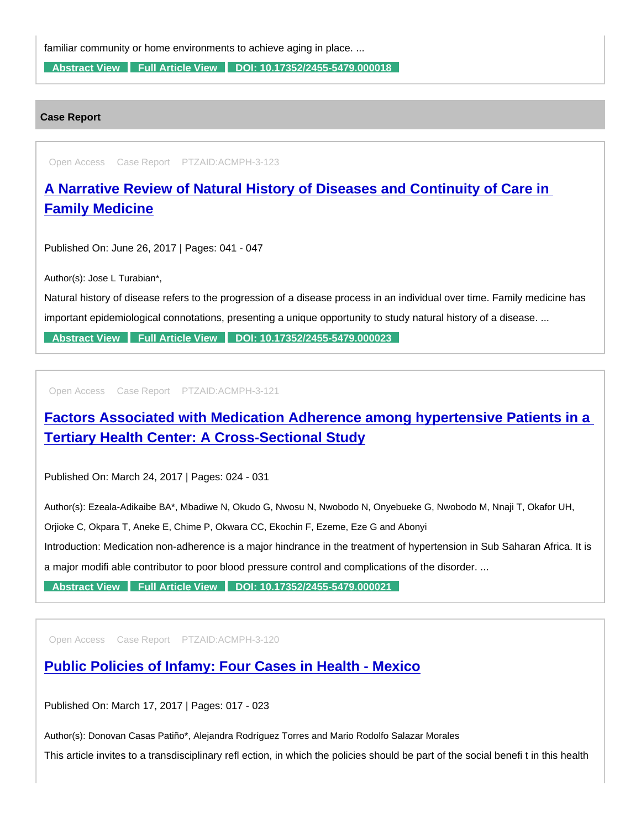familiar community or home environments to achieve aging in place. ...

[Abstract View](https://www.peertechzpublications.com/abstracts/a-pilot-study-exploring-the-relationship-between-short-term-hrv-and-self-rated-health-status-among-elderly-people) [Full Article View](https://www.peertechzpublications.com/articles/a-pilot-study-exploring-the-relationship-between-short-term-hrv-and-self-rated-health-status-among-elderly-people) [DOI: 10.17352/2455-5479.000018](http://dx.doi.org/10.17352/2455-5479.000018)

#### Case Report

Open Access Case Report PTZAID:ACMPH-3-123

# [A Narrative Review of Natural History of Diseases and Continuity of Care in](https://www.peertechzpublications.com/articles/a-narrative-review-of-natural-history-of-diseases-and-continuity-of-care-in-family-medicine)  Family Medicine

Published On: June 26, 2017 | Pages: 041 - 047

Author(s): Jose L Turabian\*,

Natural history of disease refers to the progression of a disease process in an individual over time. Family medicine has important epidemiological connotations, presenting a unique opportunity to study natural history of a disease. ...

[Abstract View](https://www.peertechzpublications.com/abstracts/a-narrative-review-of-natural-history-of-diseases-and-continuity-of-care-in-family-medicine) [Full Article View](https://www.peertechzpublications.com/articles/a-narrative-review-of-natural-history-of-diseases-and-continuity-of-care-in-family-medicine) [DOI: 10.17352/2455-5479.000023](http://dx.doi.org/10.17352/2455-5479.000023)

Open Access Case Report PTZAID:ACMPH-3-121

[Factors Associated with Medication Adherence among hypertensive Patients in a](https://www.peertechzpublications.com/articles/factors-associated-with-medication-adherence-among-hypertensive-patients-in-a-tertiary-health-center-a-cross-sectional-study)  Tertiary Health Center: A Cross-Sectional Study

Published On: March 24, 2017 | Pages: 024 - 031

Author(s): Ezeala-Adikaibe BA\*, Mbadiwe N, Okudo G, Nwosu N, Nwobodo N, Onyebueke G, Nwobodo M, Nnaji T, Okafor UH,

Orjioke C, Okpara T, Aneke E, Chime P, Okwara CC, Ekochin F, Ezeme, Eze G and Abonyi

Introduction: Medication non-adherence is a major hindrance in the treatment of hypertension in Sub Saharan Africa. It is

a major modifi able contributor to poor blood pressure control and complications of the disorder. ...

[Abstract View](https://www.peertechzpublications.com/abstracts/factors-associated-with-medication-adherence-among-hypertensive-patients-in-a-tertiary-health-center-a-cross-sectional-study) [Full Article View](https://www.peertechzpublications.com/articles/factors-associated-with-medication-adherence-among-hypertensive-patients-in-a-tertiary-health-center-a-cross-sectional-study) [DOI: 10.17352/2455-5479.000021](http://dx.doi.org/10.17352/2455-5479.000021)

Open Access Case Report PTZAID:ACMPH-3-120

### [Public Policies of Infamy: Four Cases in Health - Mexico](https://www.peertechzpublications.com/articles/public-policies-of-infamy-four-cases-in-health-mexico)

Published On: March 17, 2017 | Pages: 017 - 023

Author(s): Donovan Casas Patiño\*, Alejandra Rodríguez Torres and Mario Rodolfo Salazar Morales

This article invites to a transdisciplinary refl ection, in which the policies should be part of the social benefi t in this health